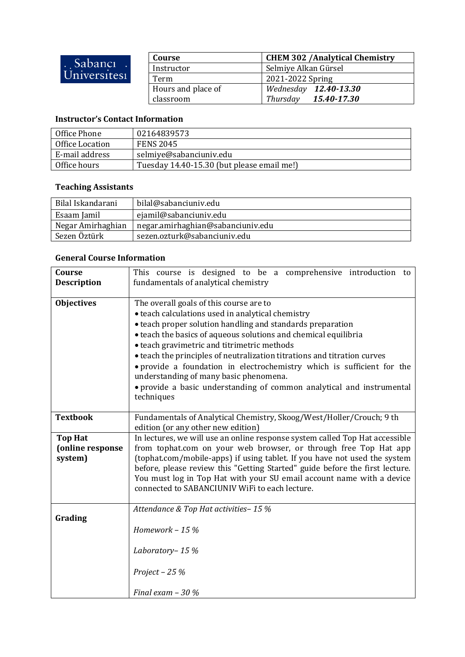| Sabanci.<br>Universitesi | Course             | <b>CHEM 302 / Analytical Chemistry</b> |
|--------------------------|--------------------|----------------------------------------|
|                          | Instructor         | Selmiye Alkan Gürsel                   |
|                          | Term               | 2021-2022 Spring                       |
|                          | Hours and place of | Wednesday 12.40-13.30                  |
|                          | classroom          | Thursday 15.40-17.30                   |

## **Instructor's Contact Information**

| Office Phone    | 02164839573                                |
|-----------------|--------------------------------------------|
| Office Location | <b>FENS 2045</b>                           |
| E-mail address  | selmiye@sabanciuniv.edu                    |
| Office hours    | Tuesday 14.40-15.30 (but please email me!) |

## **Teaching Assistants**

| Bilal Iskandarani | bilal@sabanciuniv.edu             |
|-------------------|-----------------------------------|
| Esaam Jamil       | ejamil@sabanciuniv.edu            |
| Negar Amirhaghian | negar.amirhaghian@sabanciuniv.edu |
| Sezen Öztürk      | sezen.ozturk@sabanciuniv.edu      |

## **General Course Information**

| Course<br><b>Description</b>                  | This course is designed to be a comprehensive introduction to<br>fundamentals of analytical chemistry                                                                                                                                                                                                                                                                                                                                                                                                                                                               |  |
|-----------------------------------------------|---------------------------------------------------------------------------------------------------------------------------------------------------------------------------------------------------------------------------------------------------------------------------------------------------------------------------------------------------------------------------------------------------------------------------------------------------------------------------------------------------------------------------------------------------------------------|--|
| <b>Objectives</b>                             | The overall goals of this course are to<br>· teach calculations used in analytical chemistry<br>• teach proper solution handling and standards preparation<br>• teach the basics of aqueous solutions and chemical equilibria<br>• teach gravimetric and titrimetric methods<br>• teach the principles of neutralization titrations and titration curves<br>· provide a foundation in electrochemistry which is sufficient for the<br>understanding of many basic phenomena.<br>• provide a basic understanding of common analytical and instrumental<br>techniques |  |
| <b>Textbook</b>                               | Fundamentals of Analytical Chemistry, Skoog/West/Holler/Crouch; 9 th<br>edition (or any other new edition)                                                                                                                                                                                                                                                                                                                                                                                                                                                          |  |
| <b>Top Hat</b><br>(online response<br>system) | In lectures, we will use an online response system called Top Hat accessible<br>from tophat.com on your web browser, or through free Top Hat app<br>(tophat.com/mobile-apps) if using tablet. If you have not used the system<br>before, please review this "Getting Started" guide before the first lecture.<br>You must log in Top Hat with your SU email account name with a device<br>connected to SABANCIUNIV WiFi to each lecture.                                                                                                                            |  |
| Grading                                       | Attendance & Top Hat activities-15 %<br>Homework $-15%$<br>Laboratory-15%                                                                                                                                                                                                                                                                                                                                                                                                                                                                                           |  |
|                                               | Project $-25%$<br>Final exam $-30\%$                                                                                                                                                                                                                                                                                                                                                                                                                                                                                                                                |  |